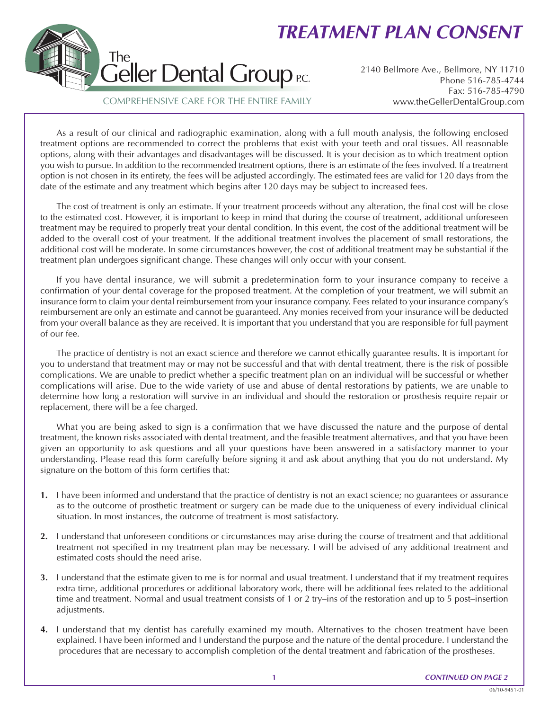## *TREATMENT PLAN CONSENT*



2140 Bellmore Ave., Bellmore, NY 11710 Phone 516-785-4744 Fax: 516-785-4790 www.theGellerDentalGroup.com

## COMPREHENSIVE CARE FOR THE ENTIRE FAMILY

As a result of our clinical and radiographic examination, along with a full mouth analysis, the following enclosed treatment options are recommended to correct the problems that exist with your teeth and oral tissues. All reasonable options, along with their advantages and disadvantages will be discussed. It is your decision as to which treatment option you wish to pursue. In addition to the recommended treatment options, there is an estimate of the fees involved. If a treatment option is not chosen in its entirety, the fees will be adjusted accordingly. The estimated fees are valid for 120 days from the date of the estimate and any treatment which begins after 120 days may be subject to increased fees.

The cost of treatment is only an estimate. If your treatment proceeds without any alteration, the final cost will be close to the estimated cost. However, it is important to keep in mind that during the course of treatment, additional unforeseen treatment may be required to properly treat your dental condition. In this event, the cost of the additional treatment will be added to the overall cost of your treatment. If the additional treatment involves the placement of small restorations, the additional cost will be moderate. In some circumstances however, the cost of additional treatment may be substantial if the treatment plan undergoes significant change. These changes will only occur with your consent.

If you have dental insurance, we will submit a predetermination form to your insurance company to receive a confirmation of your dental coverage for the proposed treatment. At the completion of your treatment, we will submit an insurance form to claim your dental reimbursement from your insurance company. Fees related to your insurance company's reimbursement are only an estimate and cannot be guaranteed. Any monies received from your insurance will be deducted from your overall balance as they are received. It is important that you understand that you are responsible for full payment of our fee.

The practice of dentistry is not an exact science and therefore we cannot ethically guarantee results. It is important for you to understand that treatment may or may not be successful and that with dental treatment, there is the risk of possible complications. We are unable to predict whether a specific treatment plan on an individual will be successful or whether complications will arise. Due to the wide variety of use and abuse of dental restorations by patients, we are unable to determine how long a restoration will survive in an individual and should the restoration or prosthesis require repair or replacement, there will be a fee charged.

What you are being asked to sign is a confirmation that we have discussed the nature and the purpose of dental treatment, the known risks associated with dental treatment, and the feasible treatment alternatives, and that you have been given an opportunity to ask questions and all your questions have been answered in a satisfactory manner to your understanding. Please read this form carefully before signing it and ask about anything that you do not understand. My signature on the bottom of this form certifies that:

- **1.** I have been informed and understand that the practice of dentistry is not an exact science; no guarantees or assurance as to the outcome of prosthetic treatment or surgery can be made due to the uniqueness of every individual clinical situation. In most instances, the outcome of treatment is most satisfactory.
- **2.** I understand that unforeseen conditions or circumstances may arise during the course of treatment and that additional treatment not specified in my treatment plan may be necessary. I will be advised of any additional treatment and estimated costs should the need arise.
- **3.** I understand that the estimate given to me is for normal and usual treatment. I understand that if my treatment requires extra time, additional procedures or additional laboratory work, there will be additional fees related to the additional time and treatment. Normal and usual treatment consists of 1 or 2 try–ins of the restoration and up to 5 post–insertion adjustments.
- **4.** I understand that my dentist has carefully examined my mouth. Alternatives to the chosen treatment have been explained. I have been informed and I understand the purpose and the nature of the dental procedure. I understand the procedures that are necessary to accomplish completion of the dental treatment and fabrication of the prostheses.